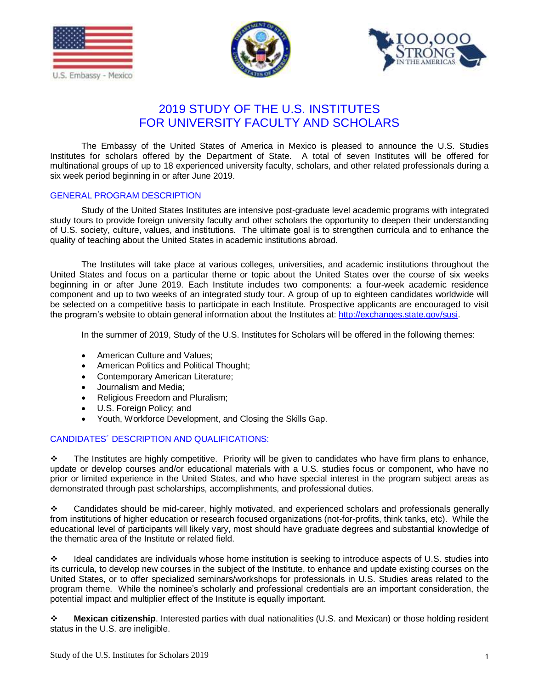





## 2019 STUDY OF THE U.S. INSTITUTES FOR UNIVERSITY FACULTY AND SCHOLARS

The Embassy of the United States of America in Mexico is pleased to announce the U.S. Studies Institutes for scholars offered by the Department of State. A total of seven Institutes will be offered for multinational groups of up to 18 experienced university faculty, scholars, and other related professionals during a six week period beginning in or after June 2019.

### GENERAL PROGRAM DESCRIPTION

Study of the United States Institutes are intensive post-graduate level academic programs with integrated study tours to provide foreign university faculty and other scholars the opportunity to deepen their understanding of U.S. society, culture, values, and institutions. The ultimate goal is to strengthen curricula and to enhance the quality of teaching about the United States in academic institutions abroad.

The Institutes will take place at various colleges, universities, and academic institutions throughout the United States and focus on a particular theme or topic about the United States over the course of six weeks beginning in or after June 2019. Each Institute includes two components: a four-week academic residence component and up to two weeks of an integrated study tour. A group of up to eighteen candidates worldwide will be selected on a competitive basis to participate in each Institute. Prospective applicants are encouraged to visit the program's website to obtain general information about the Institutes at: [http://exchanges.state.gov/susi.](http://exchanges.state.gov/susi)

In the summer of 2019, Study of the U.S. Institutes for Scholars will be offered in the following themes:

- American Culture and Values:
- American Politics and Political Thought;
- Contemporary American Literature;
- Journalism and Media;
- Religious Freedom and Pluralism;
- U.S. Foreign Policy; and
- Youth, Workforce Development, and Closing the Skills Gap.

### CANDIDATES´ DESCRIPTION AND QUALIFICATIONS:

 $\cdot \cdot$  The Institutes are highly competitive. Priority will be given to candidates who have firm plans to enhance, update or develop courses and/or educational materials with a U.S. studies focus or component, who have no prior or limited experience in the United States, and who have special interest in the program subject areas as demonstrated through past scholarships, accomplishments, and professional duties.

 Candidates should be mid-career, highly motivated, and experienced scholars and professionals generally from institutions of higher education or research focused organizations (not-for-profits, think tanks, etc). While the educational level of participants will likely vary, most should have graduate degrees and substantial knowledge of the thematic area of the Institute or related field.

 Ideal candidates are individuals whose home institution is seeking to introduce aspects of U.S. studies into its curricula, to develop new courses in the subject of the Institute, to enhance and update existing courses on the United States, or to offer specialized seminars/workshops for professionals in U.S. Studies areas related to the program theme. While the nominee's scholarly and professional credentials are an important consideration, the potential impact and multiplier effect of the Institute is equally important.

 **Mexican citizenship**. Interested parties with dual nationalities (U.S. and Mexican) or those holding resident status in the U.S. are ineligible.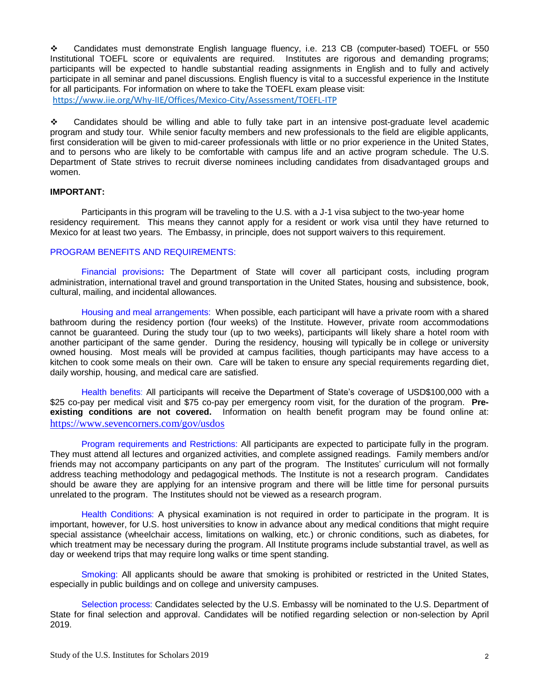Candidates must demonstrate English language fluency, i.e. 213 CB (computer-based) TOEFL or 550 Institutional TOEFL score or equivalents are required. Institutes are rigorous and demanding programs; participants will be expected to handle substantial reading assignments in English and to fully and actively participate in all seminar and panel discussions. English fluency is vital to a successful experience in the Institute for all participants. For information on where to take the TOEFL exam please visit: <https://www.iie.org/Why-IIE/Offices/Mexico-City/Assessment/TOEFL-ITP>

 Candidates should be willing and able to fully take part in an intensive post-graduate level academic program and study tour. While senior faculty members and new professionals to the field are eligible applicants, first consideration will be given to mid-career professionals with little or no prior experience in the United States, and to persons who are likely to be comfortable with campus life and an active program schedule. The U.S. Department of State strives to recruit diverse nominees including candidates from disadvantaged groups and women.

### **IMPORTANT:**

Participants in this program will be traveling to the U.S. with a J-1 visa subject to the two-year home residency requirement. This means they cannot apply for a resident or work visa until they have returned to Mexico for at least two years. The Embassy, in principle, does not support waivers to this requirement.

### PROGRAM BENEFITS AND REQUIREMENTS:

Financial provisions**:** The Department of State will cover all participant costs, including program administration, international travel and ground transportation in the United States, housing and subsistence, book, cultural, mailing, and incidental allowances.

Housing and meal arrangements: When possible, each participant will have a private room with a shared bathroom during the residency portion (four weeks) of the Institute. However, private room accommodations cannot be guaranteed. During the study tour (up to two weeks), participants will likely share a hotel room with another participant of the same gender. During the residency, housing will typically be in college or university owned housing. Most meals will be provided at campus facilities, though participants may have access to a kitchen to cook some meals on their own. Care will be taken to ensure any special requirements regarding diet, daily worship, housing, and medical care are satisfied.

Health benefits: All participants will receive the Department of State's coverage of USD\$100,000 with a \$25 co-pay per medical visit and \$75 co-pay per emergency room visit, for the duration of the program. **Preexisting conditions are not covered.** Information on health benefit program may be found online at: <https://www.sevencorners.com/gov/usdos>

Program requirements and Restrictions: All participants are expected to participate fully in the program. They must attend all lectures and organized activities, and complete assigned readings. Family members and/or friends may not accompany participants on any part of the program. The Institutes' curriculum will not formally address teaching methodology and pedagogical methods. The Institute is not a research program. Candidates should be aware they are applying for an intensive program and there will be little time for personal pursuits unrelated to the program. The Institutes should not be viewed as a research program.

Health Conditions: A physical examination is not required in order to participate in the program. It is important, however, for U.S. host universities to know in advance about any medical conditions that might require special assistance (wheelchair access, limitations on walking, etc.) or chronic conditions, such as diabetes, for which treatment may be necessary during the program. All Institute programs include substantial travel, as well as day or weekend trips that may require long walks or time spent standing.

Smoking: All applicants should be aware that smoking is prohibited or restricted in the United States, especially in public buildings and on college and university campuses.

Selection process: Candidates selected by the U.S. Embassy will be nominated to the U.S. Department of State for final selection and approval. Candidates will be notified regarding selection or non-selection by April 2019.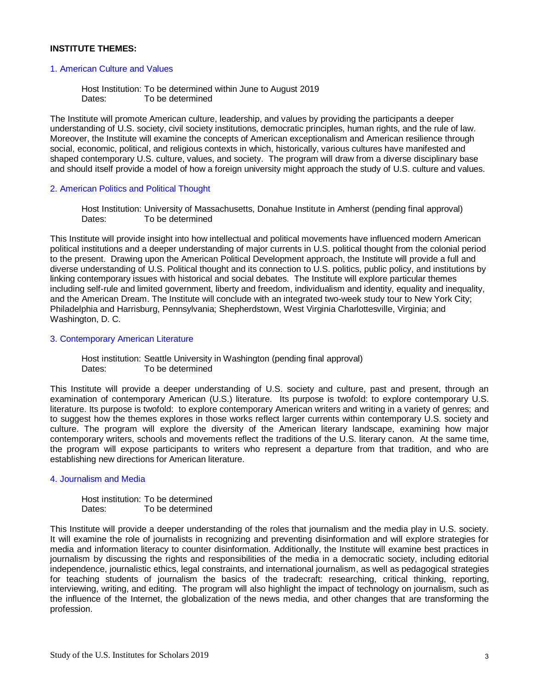### **INSTITUTE THEMES:**

### 1. American Culture and Values

Host Institution: To be determined within June to August 2019 Dates: To be determined

The Institute will promote American culture, leadership, and values by providing the participants a deeper understanding of U.S. society, civil society institutions, democratic principles, human rights, and the rule of law. Moreover, the Institute will examine the concepts of American exceptionalism and American resilience through social, economic, political, and religious contexts in which, historically, various cultures have manifested and shaped contemporary U.S. culture, values, and society. The program will draw from a diverse disciplinary base and should itself provide a model of how a foreign university might approach the study of U.S. culture and values.

#### 2. American Politics and Political Thought

Host Institution: University of Massachusetts, Donahue Institute in Amherst (pending final approval) Dates: To be determined

This Institute will provide insight into how intellectual and political movements have influenced modern American political institutions and a deeper understanding of major currents in U.S. political thought from the colonial period to the present. Drawing upon the American Political Development approach, the Institute will provide a full and diverse understanding of U.S. Political thought and its connection to U.S. politics, public policy, and institutions by linking contemporary issues with historical and social debates. The Institute will explore particular themes including self-rule and limited government, liberty and freedom, individualism and identity, equality and inequality, and the American Dream. The Institute will conclude with an integrated two-week study tour to New York City; Philadelphia and Harrisburg, Pennsylvania; Shepherdstown, West Virginia Charlottesville, Virginia; and Washington, D. C.

#### 3. Contemporary American Literature

Host institution: Seattle University in Washington (pending final approval) Dates: To be determined

This Institute will provide a deeper understanding of U.S. society and culture, past and present, through an examination of contemporary American (U.S.) literature. Its purpose is twofold: to explore contemporary U.S. literature. Its purpose is twofold: to explore contemporary American writers and writing in a variety of genres; and to suggest how the themes explores in those works reflect larger currents within contemporary U.S. society and culture. The program will explore the diversity of the American literary landscape, examining how major contemporary writers, schools and movements reflect the traditions of the U.S. literary canon. At the same time, the program will expose participants to writers who represent a departure from that tradition, and who are establishing new directions for American literature.

### 4. Journalism and Media

Host institution: To be determined Dates: To be determined

This Institute will provide a deeper understanding of the roles that journalism and the media play in U.S. society. It will examine the role of journalists in recognizing and preventing disinformation and will explore strategies for media and information literacy to counter disinformation. Additionally, the Institute will examine best practices in journalism by discussing the rights and responsibilities of the media in a democratic society, including editorial independence, journalistic ethics, legal constraints, and international journalism, as well as pedagogical strategies for teaching students of journalism the basics of the tradecraft: researching, critical thinking, reporting, interviewing, writing, and editing. The program will also highlight the impact of technology on journalism, such as the influence of the Internet, the globalization of the news media, and other changes that are transforming the profession.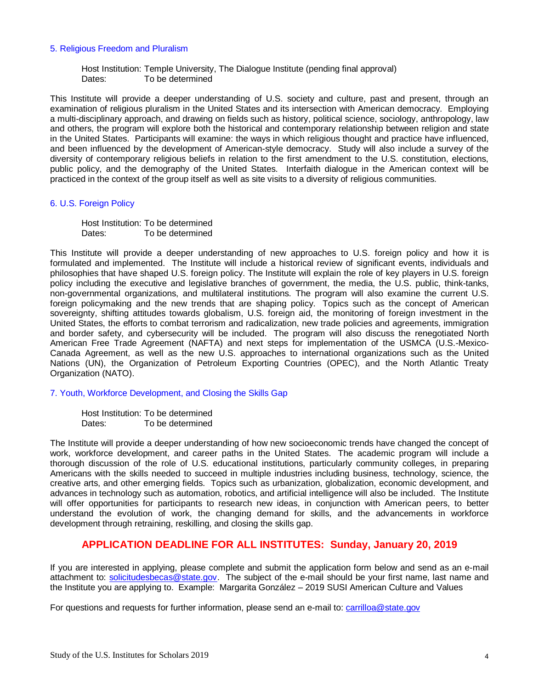### 5. Religious Freedom and Pluralism

Host Institution: Temple University, The Dialogue Institute (pending final approval) Dates: To be determined

This Institute will provide a deeper understanding of U.S. society and culture, past and present, through an examination of religious pluralism in the United States and its intersection with American democracy. Employing a multi-disciplinary approach, and drawing on fields such as history, political science, sociology, anthropology, law and others, the program will explore both the historical and contemporary relationship between religion and state in the United States. Participants will examine: the ways in which religious thought and practice have influenced, and been influenced by the development of American-style democracy. Study will also include a survey of the diversity of contemporary religious beliefs in relation to the first amendment to the U.S. constitution, elections, public policy, and the demography of the United States. Interfaith dialogue in the American context will be practiced in the context of the group itself as well as site visits to a diversity of religious communities.

### 6. U.S. Foreign Policy

Host Institution: To be determined Dates: To be determined

This Institute will provide a deeper understanding of new approaches to U.S. foreign policy and how it is formulated and implemented. The Institute will include a historical review of significant events, individuals and philosophies that have shaped U.S. foreign policy. The Institute will explain the role of key players in U.S. foreign policy including the executive and legislative branches of government, the media, the U.S. public, think-tanks, non-governmental organizations, and multilateral institutions. The program will also examine the current U.S. foreign policymaking and the new trends that are shaping policy. Topics such as the concept of American sovereignty, shifting attitudes towards globalism, U.S. foreign aid, the monitoring of foreign investment in the United States, the efforts to combat terrorism and radicalization, new trade policies and agreements, immigration and border safety, and cybersecurity will be included. The program will also discuss the renegotiated North American Free Trade Agreement (NAFTA) and next steps for implementation of the USMCA (U.S.-Mexico-Canada Agreement, as well as the new U.S. approaches to international organizations such as the United Nations (UN), the Organization of Petroleum Exporting Countries (OPEC), and the North Atlantic Treaty Organization (NATO).

7. Youth, Workforce Development, and Closing the Skills Gap

Host Institution: To be determined Dates: To be determined

The Institute will provide a deeper understanding of how new socioeconomic trends have changed the concept of work, workforce development, and career paths in the United States. The academic program will include a thorough discussion of the role of U.S. educational institutions, particularly community colleges, in preparing Americans with the skills needed to succeed in multiple industries including business, technology, science, the creative arts, and other emerging fields. Topics such as urbanization, globalization, economic development, and advances in technology such as automation, robotics, and artificial intelligence will also be included. The Institute will offer opportunities for participants to research new ideas, in conjunction with American peers, to better understand the evolution of work, the changing demand for skills, and the advancements in workforce development through retraining, reskilling, and closing the skills gap.

## **APPLICATION DEADLINE FOR ALL INSTITUTES: Sunday, January 20, 2019**

If you are interested in applying, please complete and submit the application form below and send as an e-mail attachment to: [solicitudesbecas@state.gov.](mailto:solicitudesbecas@state.gov) The subject of the e-mail should be your first name, last name and the Institute you are applying to. Example: Margarita González – 2019 SUSI American Culture and Values

For questions and requests for further information, please send an e-mail to: [carrilloa@state.gov](mailto:carrilloa@state.gov)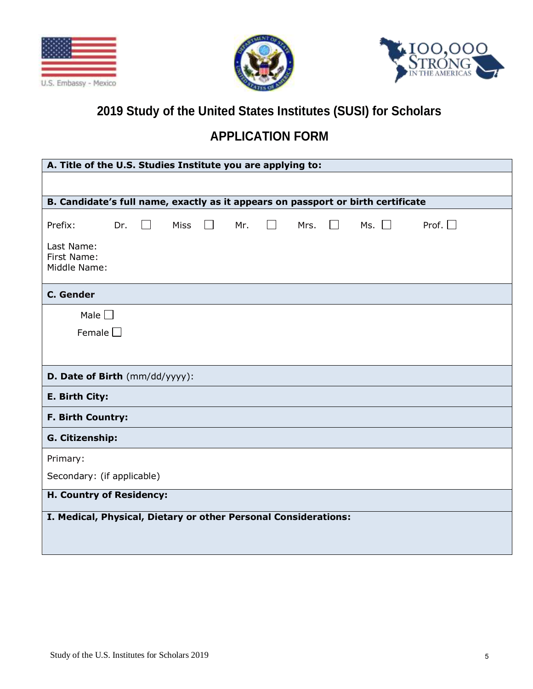





# **2019 Study of the United States Institutes (SUSI) for Scholars**

# **APPLICATION FORM**

| A. Title of the U.S. Studies Institute you are applying to:                      |     |         |             |  |     |        |      |        |            |                 |
|----------------------------------------------------------------------------------|-----|---------|-------------|--|-----|--------|------|--------|------------|-----------------|
|                                                                                  |     |         |             |  |     |        |      |        |            |                 |
| B. Candidate's full name, exactly as it appears on passport or birth certificate |     |         |             |  |     |        |      |        |            |                 |
| Prefix:<br>Last Name:<br>First Name:<br>Middle Name:                             | Dr. | $\perp$ | <b>Miss</b> |  | Mr. | $\Box$ | Mrs. | $\Box$ | Ms. $\Box$ | Prof. $\square$ |
| <b>C.</b> Gender                                                                 |     |         |             |  |     |        |      |        |            |                 |
| Male $\Box$<br>Female $\Box$                                                     |     |         |             |  |     |        |      |        |            |                 |
| D. Date of Birth (mm/dd/yyyy):                                                   |     |         |             |  |     |        |      |        |            |                 |
| E. Birth City:                                                                   |     |         |             |  |     |        |      |        |            |                 |
| <b>F. Birth Country:</b>                                                         |     |         |             |  |     |        |      |        |            |                 |
| G. Citizenship:                                                                  |     |         |             |  |     |        |      |        |            |                 |
| Primary:                                                                         |     |         |             |  |     |        |      |        |            |                 |
| Secondary: (if applicable)                                                       |     |         |             |  |     |        |      |        |            |                 |
| H. Country of Residency:                                                         |     |         |             |  |     |        |      |        |            |                 |
| I. Medical, Physical, Dietary or other Personal Considerations:                  |     |         |             |  |     |        |      |        |            |                 |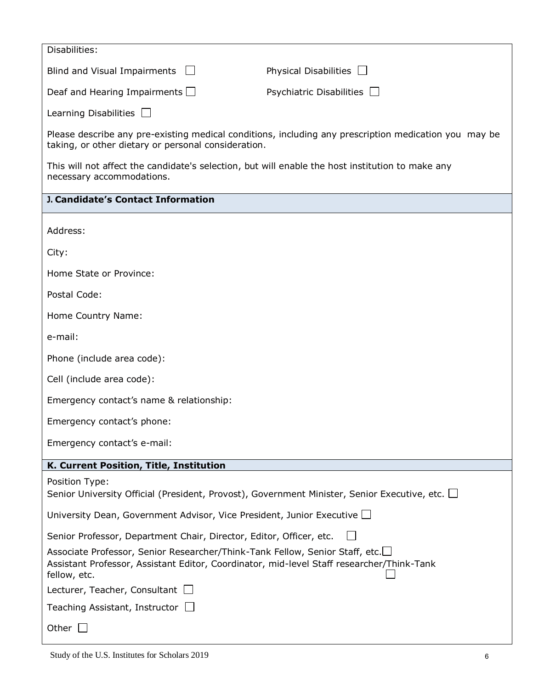| Disabilities:                                                                                                                                                                             |                                                                                                       |  |  |  |  |  |
|-------------------------------------------------------------------------------------------------------------------------------------------------------------------------------------------|-------------------------------------------------------------------------------------------------------|--|--|--|--|--|
| Blind and Visual Impairments $\Box$                                                                                                                                                       | Physical Disabilities                                                                                 |  |  |  |  |  |
| Deaf and Hearing Impairments $\Box$                                                                                                                                                       | Psychiatric Disabilities $\Box$                                                                       |  |  |  |  |  |
| Learning Disabilities $\Box$                                                                                                                                                              |                                                                                                       |  |  |  |  |  |
| taking, or other dietary or personal consideration.                                                                                                                                       | Please describe any pre-existing medical conditions, including any prescription medication you may be |  |  |  |  |  |
| This will not affect the candidate's selection, but will enable the host institution to make any<br>necessary accommodations.                                                             |                                                                                                       |  |  |  |  |  |
| J. Candidate's Contact Information                                                                                                                                                        |                                                                                                       |  |  |  |  |  |
| Address:                                                                                                                                                                                  |                                                                                                       |  |  |  |  |  |
| City:                                                                                                                                                                                     |                                                                                                       |  |  |  |  |  |
| Home State or Province:                                                                                                                                                                   |                                                                                                       |  |  |  |  |  |
| Postal Code:                                                                                                                                                                              |                                                                                                       |  |  |  |  |  |
| Home Country Name:                                                                                                                                                                        |                                                                                                       |  |  |  |  |  |
| e-mail:                                                                                                                                                                                   |                                                                                                       |  |  |  |  |  |
| Phone (include area code):                                                                                                                                                                |                                                                                                       |  |  |  |  |  |
| Cell (include area code):                                                                                                                                                                 |                                                                                                       |  |  |  |  |  |
| Emergency contact's name & relationship:                                                                                                                                                  |                                                                                                       |  |  |  |  |  |
| Emergency contact's phone:                                                                                                                                                                |                                                                                                       |  |  |  |  |  |
| Emergency contact's e-mail:                                                                                                                                                               |                                                                                                       |  |  |  |  |  |
| K. Current Position, Title, Institution                                                                                                                                                   |                                                                                                       |  |  |  |  |  |
| Position Type:<br>Senior University Official (President, Provost), Government Minister, Senior Executive, etc. $\Box$                                                                     |                                                                                                       |  |  |  |  |  |
| University Dean, Government Advisor, Vice President, Junior Executive $\Box$                                                                                                              |                                                                                                       |  |  |  |  |  |
| Senior Professor, Department Chair, Director, Editor, Officer, etc.                                                                                                                       |                                                                                                       |  |  |  |  |  |
| Associate Professor, Senior Researcher/Think-Tank Fellow, Senior Staff, etc.<br>Assistant Professor, Assistant Editor, Coordinator, mid-level Staff researcher/Think-Tank<br>fellow, etc. |                                                                                                       |  |  |  |  |  |
| Lecturer, Teacher, Consultant $\Box$                                                                                                                                                      |                                                                                                       |  |  |  |  |  |
| Teaching Assistant, Instructor $\Box$                                                                                                                                                     |                                                                                                       |  |  |  |  |  |
| Other $\Box$                                                                                                                                                                              |                                                                                                       |  |  |  |  |  |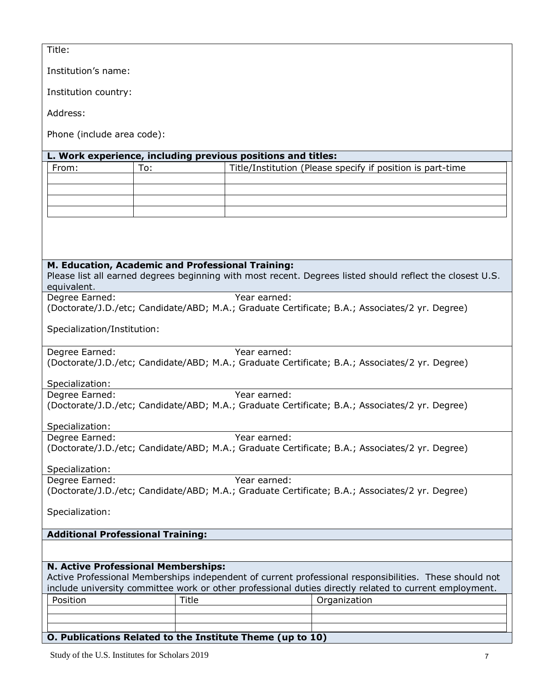| Title: |  |  |
|--------|--|--|
|        |  |  |

Institution's name:

Institution country:

Address:

Phone (include area code):

## **L. Work experience, including previous positions and titles:**

| From: | ۲о: | Title/Institution (Please specify if position is part-time |
|-------|-----|------------------------------------------------------------|
|       |     |                                                            |
|       |     |                                                            |
|       |     |                                                            |
|       |     |                                                            |

## **M. Education, Academic and Professional Training:**

Please list all earned degrees beginning with most recent. Degrees listed should reflect the closest U.S. equivalent.

Degree Earned: Year earned: (Doctorate/J.D./etc; Candidate/ABD; M.A.; Graduate Certificate; B.A.; Associates/2 yr. Degree)

Specialization/Institution:

Degree Earned: Year earned: (Doctorate/J.D./etc; Candidate/ABD; M.A.; Graduate Certificate; B.A.; Associates/2 yr. Degree)

Specialization:

Degree Earned: Year earned: (Doctorate/J.D./etc; Candidate/ABD; M.A.; Graduate Certificate; B.A.; Associates/2 yr. Degree)

Specialization:

Degree Earned: Year earned: (Doctorate/J.D./etc; Candidate/ABD; M.A.; Graduate Certificate; B.A.; Associates/2 yr. Degree)

Specialization:

Degree Earned: Year earned: (Doctorate/J.D./etc; Candidate/ABD; M.A.; Graduate Certificate; B.A.; Associates/2 yr. Degree)

Specialization:

## **Additional Professional Training:**

## **N. Active Professional Memberships:**

Active Professional Memberships independent of current professional responsibilities. These should not include university committee work or other professional duties directly related to current employment. Position Title Title and Organization

## **O. Publications Related to the Institute Theme (up to 10)**

Study of the U.S. Institutes for Scholars 2019 7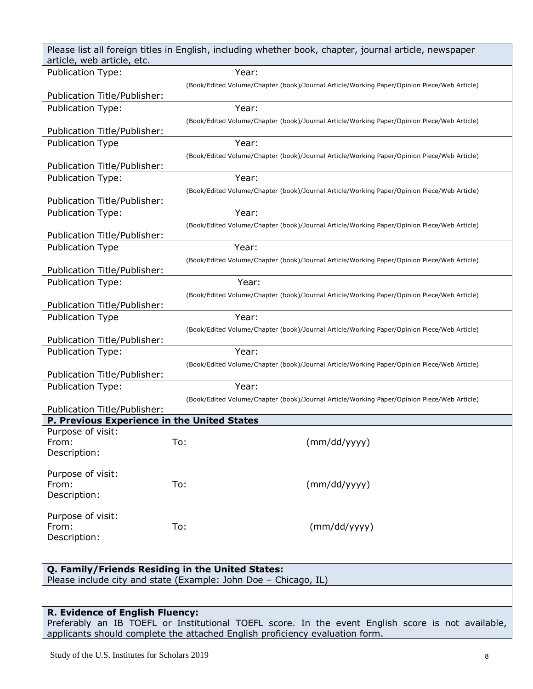| Please list all foreign titles in English, including whether book, chapter, journal article, newspaper<br>article, web article, etc. |                                                                                             |  |  |  |  |  |
|--------------------------------------------------------------------------------------------------------------------------------------|---------------------------------------------------------------------------------------------|--|--|--|--|--|
| <b>Publication Type:</b>                                                                                                             | Year:                                                                                       |  |  |  |  |  |
|                                                                                                                                      | (Book/Edited Volume/Chapter (book)/Journal Article/Working Paper/Opinion Piece/Web Article) |  |  |  |  |  |
| Publication Title/Publisher:                                                                                                         |                                                                                             |  |  |  |  |  |
| <b>Publication Type:</b>                                                                                                             | Year:                                                                                       |  |  |  |  |  |
|                                                                                                                                      | (Book/Edited Volume/Chapter (book)/Journal Article/Working Paper/Opinion Piece/Web Article) |  |  |  |  |  |
| Publication Title/Publisher:                                                                                                         |                                                                                             |  |  |  |  |  |
| <b>Publication Type</b>                                                                                                              | Year:                                                                                       |  |  |  |  |  |
| Publication Title/Publisher:                                                                                                         | (Book/Edited Volume/Chapter (book)/Journal Article/Working Paper/Opinion Piece/Web Article) |  |  |  |  |  |
| <b>Publication Type:</b>                                                                                                             | Year:                                                                                       |  |  |  |  |  |
|                                                                                                                                      | (Book/Edited Volume/Chapter (book)/Journal Article/Working Paper/Opinion Piece/Web Article) |  |  |  |  |  |
| Publication Title/Publisher:                                                                                                         |                                                                                             |  |  |  |  |  |
| Publication Type:                                                                                                                    | Year:                                                                                       |  |  |  |  |  |
|                                                                                                                                      | (Book/Edited Volume/Chapter (book)/Journal Article/Working Paper/Opinion Piece/Web Article) |  |  |  |  |  |
| Publication Title/Publisher:                                                                                                         |                                                                                             |  |  |  |  |  |
| <b>Publication Type</b>                                                                                                              | Year:                                                                                       |  |  |  |  |  |
| Publication Title/Publisher:                                                                                                         | (Book/Edited Volume/Chapter (book)/Journal Article/Working Paper/Opinion Piece/Web Article) |  |  |  |  |  |
| <b>Publication Type:</b>                                                                                                             | Year:                                                                                       |  |  |  |  |  |
|                                                                                                                                      | (Book/Edited Volume/Chapter (book)/Journal Article/Working Paper/Opinion Piece/Web Article) |  |  |  |  |  |
| Publication Title/Publisher:                                                                                                         |                                                                                             |  |  |  |  |  |
| <b>Publication Type</b>                                                                                                              | Year:                                                                                       |  |  |  |  |  |
|                                                                                                                                      | (Book/Edited Volume/Chapter (book)/Journal Article/Working Paper/Opinion Piece/Web Article) |  |  |  |  |  |
| Publication Title/Publisher:                                                                                                         |                                                                                             |  |  |  |  |  |
| <b>Publication Type:</b>                                                                                                             | Year:                                                                                       |  |  |  |  |  |
| Publication Title/Publisher:                                                                                                         | (Book/Edited Volume/Chapter (book)/Journal Article/Working Paper/Opinion Piece/Web Article) |  |  |  |  |  |
| <b>Publication Type:</b>                                                                                                             | Year:                                                                                       |  |  |  |  |  |
|                                                                                                                                      | (Book/Edited Volume/Chapter (book)/Journal Article/Working Paper/Opinion Piece/Web Article) |  |  |  |  |  |
| Publication Title/Publisher:                                                                                                         |                                                                                             |  |  |  |  |  |
| P. Previous Experience in the United States                                                                                          |                                                                                             |  |  |  |  |  |
| Purpose of visit:                                                                                                                    | To:                                                                                         |  |  |  |  |  |
| From:<br>Description:                                                                                                                | (mm/dd/yyyy)                                                                                |  |  |  |  |  |
|                                                                                                                                      |                                                                                             |  |  |  |  |  |
| Purpose of visit:                                                                                                                    |                                                                                             |  |  |  |  |  |
| From:                                                                                                                                | To:<br>(mm/dd/yyyy)                                                                         |  |  |  |  |  |
| Description:                                                                                                                         |                                                                                             |  |  |  |  |  |
| Purpose of visit:                                                                                                                    |                                                                                             |  |  |  |  |  |
| From:                                                                                                                                | To:<br>(mm/dd/yyyy)                                                                         |  |  |  |  |  |
| Description:                                                                                                                         |                                                                                             |  |  |  |  |  |
|                                                                                                                                      |                                                                                             |  |  |  |  |  |
| Q. Family/Friends Residing in the United States:                                                                                     |                                                                                             |  |  |  |  |  |
| Please include city and state (Example: John Doe - Chicago, IL)                                                                      |                                                                                             |  |  |  |  |  |
|                                                                                                                                      |                                                                                             |  |  |  |  |  |
|                                                                                                                                      |                                                                                             |  |  |  |  |  |
| <b>R. Evidence of English Fluency:</b>                                                                                               |                                                                                             |  |  |  |  |  |

Preferably an IB TOEFL or Institutional TOEFL score. In the event English score is not available, applicants should complete the attached English proficiency evaluation form.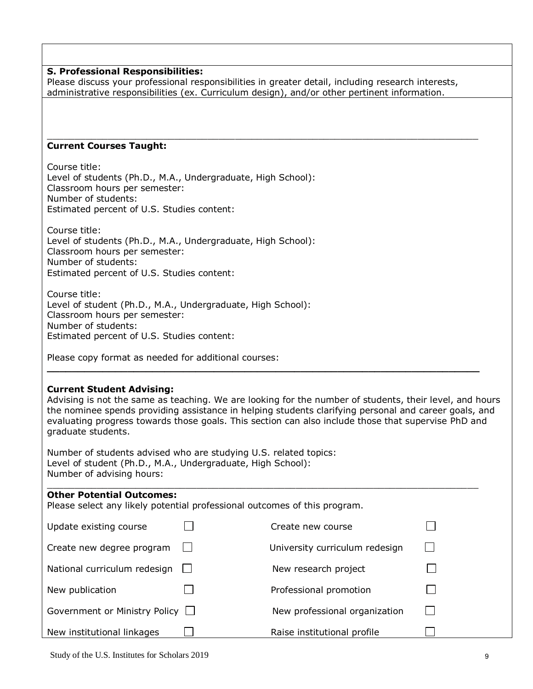### **S. Professional Responsibilities:**

Please discuss your professional responsibilities in greater detail, including research interests, administrative responsibilities (ex. Curriculum design), and/or other pertinent information.

\_\_\_\_\_\_\_\_\_\_\_\_\_\_\_\_\_\_\_\_\_\_\_\_\_\_\_\_\_\_\_\_\_\_\_\_\_\_\_\_\_\_\_\_\_\_\_\_\_\_\_\_\_\_\_\_\_\_\_\_\_\_\_\_\_\_\_\_\_\_\_\_\_\_\_\_\_\_

### **Current Courses Taught:**

Course title: Level of students (Ph.D., M.A., Undergraduate, High School): Classroom hours per semester: Number of students: Estimated percent of U.S. Studies content:

Course title: Level of students (Ph.D., M.A., Undergraduate, High School): Classroom hours per semester: Number of students: Estimated percent of U.S. Studies content:

Course title: Level of student (Ph.D., M.A., Undergraduate, High School): Classroom hours per semester: Number of students: Estimated percent of U.S. Studies content:

Please copy format as needed for additional courses:

## **Current Student Advising:**

Advising is not the same as teaching. We are looking for the number of students, their level, and hours the nominee spends providing assistance in helping students clarifying personal and career goals, and evaluating progress towards those goals. This section can also include those that supervise PhD and graduate students.

**\_\_\_\_\_\_\_\_\_\_\_\_\_\_\_\_\_\_\_\_\_\_\_\_\_\_\_\_\_\_\_\_\_\_\_\_\_\_\_\_\_\_\_\_\_\_\_\_\_\_\_\_\_\_\_\_\_\_\_\_\_\_\_\_\_\_\_\_\_\_**

Number of students advised who are studying U.S. related topics: Level of student (Ph.D., M.A., Undergraduate, High School): Number of advising hours:

### $\_$  ,  $\_$  ,  $\_$  ,  $\_$  ,  $\_$  ,  $\_$  ,  $\_$  ,  $\_$  ,  $\_$  ,  $\_$  ,  $\_$  ,  $\_$  ,  $\_$  ,  $\_$  ,  $\_$  ,  $\_$  ,  $\_$  ,  $\_$  ,  $\_$  ,  $\_$  ,  $\_$  ,  $\_$  ,  $\_$  ,  $\_$  ,  $\_$  ,  $\_$  ,  $\_$  ,  $\_$  ,  $\_$  ,  $\_$  ,  $\_$  ,  $\_$  ,  $\_$  ,  $\_$  ,  $\_$  ,  $\_$  ,  $\_$  , **Other Potential Outcomes:**

Please select any likely potential professional outcomes of this program.

| Update existing course               | Create new course              |  |
|--------------------------------------|--------------------------------|--|
| Create new degree program            | University curriculum redesign |  |
| National curriculum redesign         | New research project           |  |
| New publication                      | Professional promotion         |  |
| Government or Ministry Policy $\Box$ | New professional organization  |  |
| New institutional linkages           | Raise institutional profile    |  |